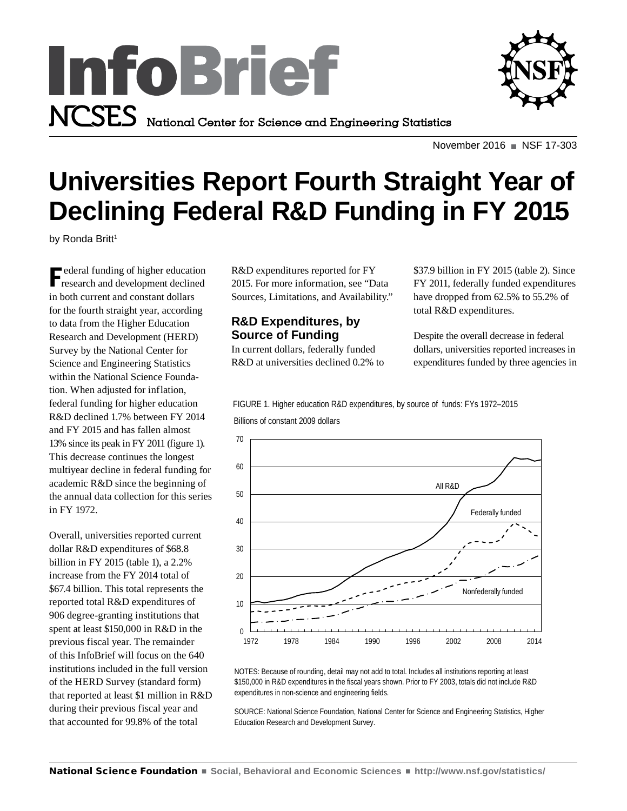



November 2016 NSF 17-303

# **Universities Report Fourth Straight Year of Declining Federal R&D Funding in FY 2015**

by Ronda Britt<sup>1</sup>

F ederal funding of higher education research and development declined in both current and constant dollars for the fourth straight year, according to data from the Higher Education Research and Development (HERD) Survey by the National Center for Science and Engineering Statistics within the National Science Foundation. When adjusted for inflation, federal funding for higher education R&D declined 1.7% between FY 2014 and FY 2015 and has fallen almost 13% since its peak in FY 2011 (figure 1). This decrease continues the longest multiyear decline in federal funding for academic R&D since the beginning of the annual data collection for this series in FY 1972.

Overall, universities reported current dollar R&D expenditures of \$68.8 billion in FY 2015 (table 1), a 2.2% increase from the FY 2014 total of \$67.4 billion. This total represents the reported total R&D expenditures of 906 degree-granting institutions that spent at least \$150,000 in R&D in the previous fiscal year. The remainder of this InfoBrief will focus on the 640 institutions included in the full version of the HERD Survey (standard form) that reported at least \$1 million in R&D during their previous fiscal year and that accounted for 99.8% of the total

R&D expenditures reported for FY 2015. For more information, see "Data Sources, Limitations, and Availability."

# **R&D Expenditures, by Source of Funding**

In current dollars, federally funded R&D at universities declined 0.2% to \$37.9 billion in FY 2015 (table 2). Since FY 2011, federally funded expenditures have dropped from 62.5% to 55.2% of total R&D expenditures.

Despite the overall decrease in federal dollars, universities reported increases in expenditures funded by three agencies in

Billions of constant 2009 dollars FIGURE 1. Higher education R&D expenditures, by source of funds: FYs 1972–2015



NOTES: Because of rounding, detail may not add to total. Includes all institutions reporting at least \$150,000 in R&D expenditures in the fiscal years shown. Prior to FY 2003, totals did not include R&D expenditures in non-science and engineering fields.

SOURCE: National Science Foundation, National Center for Science and Engineering Statistics, Higher Education Research and Development Survey.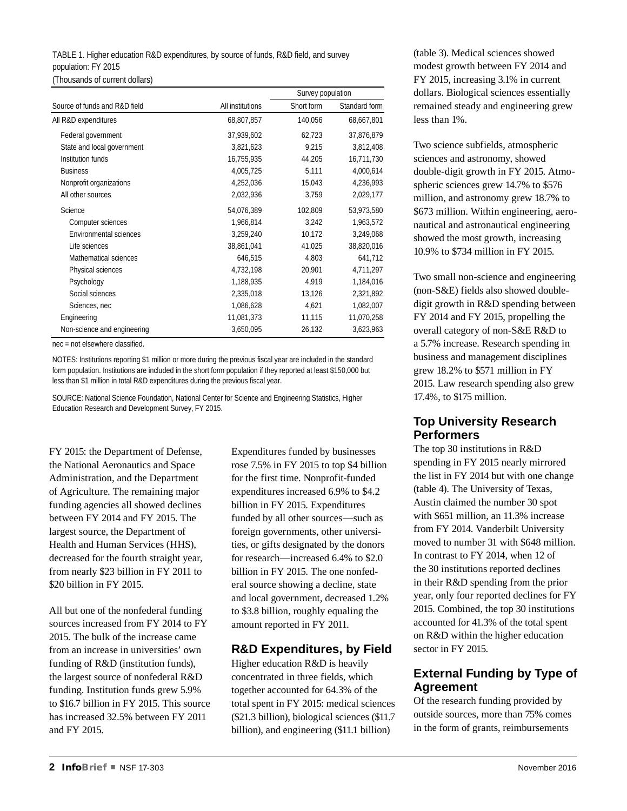# TABLE 1. Higher education R&D expenditures, by source of funds, R&D field, and survey population: FY 2015

(Thousands of current dollars)

|                               |                  | Survey population |               |  |
|-------------------------------|------------------|-------------------|---------------|--|
| Source of funds and R&D field | All institutions | Short form        | Standard form |  |
| All R&D expenditures          | 68,807,857       | 140,056           | 68,667,801    |  |
| Federal government            | 37,939,602       | 62,723            | 37,876,879    |  |
| State and local government    | 3,821,623        | 9,215             | 3,812,408     |  |
| Institution funds             | 16,755,935       | 44,205            | 16,711,730    |  |
| <b>Business</b>               | 4,005,725        | 5,111             | 4,000,614     |  |
| Nonprofit organizations       | 4,252,036        | 15,043            | 4,236,993     |  |
| All other sources             | 2,032,936        | 3,759             | 2,029,177     |  |
| Science                       | 54,076,389       | 102,809           | 53,973,580    |  |
| Computer sciences             | 1,966,814        | 3,242             | 1,963,572     |  |
| <b>Environmental sciences</b> | 3,259,240        | 10,172            | 3,249,068     |  |
| Life sciences                 | 38,861,041       | 41,025            | 38,820,016    |  |
| Mathematical sciences         | 646,515          | 4,803             | 641,712       |  |
| Physical sciences             | 4,732,198        | 20,901            | 4,711,297     |  |
| Psychology                    | 1,188,935        | 4,919             | 1,184,016     |  |
| Social sciences               | 2,335,018        | 13,126            | 2,321,892     |  |
| Sciences, nec                 | 1,086,628        | 4,621             | 1,082,007     |  |
| Engineering                   | 11,081,373       | 11,115            | 11,070,258    |  |
| Non-science and engineering   | 3,650,095        | 26,132            | 3,623,963     |  |

nec = not elsewhere classified.

NOTES: Institutions reporting \$1 million or more during the previous fiscal year are included in the standard form population. Institutions are included in the short form population if they reported at least \$150,000 but less than \$1 million in total R&D expenditures during the previous fiscal year.

SOURCE: National Science Foundation, National Center for Science and Engineering Statistics, Higher Education Research and Development Survey, FY 2015.

FY 2015: the Department of Defense, the National Aeronautics and Space Administration, and the Department of Agriculture. The remaining major funding agencies all showed declines between FY 2014 and FY 2015. The largest source, the Department of Health and Human Services (HHS), decreased for the fourth straight year, from nearly \$23 billion in FY 2011 to \$20 billion in FY 2015.

All but one of the nonfederal funding sources increased from FY 2014 to FY 2015. The bulk of the increase came from an increase in universities' own funding of R&D (institution funds), the largest source of nonfederal R&D funding. Institution funds grew 5.9% to \$16.7 billion in FY 2015. This source has increased 32.5% between FY 2011 and FY 2015.

Expenditures funded by businesses rose 7.5% in FY 2015 to top \$4 billion for the first time. Nonprofit-funded expenditures increased 6.9% to \$4.2 billion in FY 2015. Expenditures funded by all other sources—such as foreign governments, other universities, or gifts designated by the donors for research—increased 6.4% to \$2.0 billion in FY 2015. The one nonfederal source showing a decline, state and local government, decreased 1.2% to \$3.8 billion, roughly equaling the amount reported in FY 2011.

## **R&D Expenditures, by Field**

Higher education R&D is heavily concentrated in three fields, which together accounted for 64.3% of the total spent in FY 2015: medical sciences (\$21.3 billion), biological sciences (\$11.7 billion), and engineering (\$11.1 billion)

(table 3). Medical sciences showed modest growth between FY 2014 and FY 2015, increasing 3.1% in current dollars. Biological sciences essentially remained steady and engineering grew less than 1%.

Two science subfields, atmospheric sciences and astronomy, showed double-digit growth in FY 2015. Atmospheric sciences grew 14.7% to \$576 million, and astronomy grew 18.7% to \$673 million. Within engineering, aeronautical and astronautical engineering showed the most growth, increasing 10.9% to \$734 million in FY 2015.

Two small non-science and engineering (non-S&E) fields also showed doubledigit growth in R&D spending between FY 2014 and FY 2015, propelling the overall category of non-S&E R&D to a 5.7% increase. Research spending in business and management disciplines grew 18.2% to \$571 million in FY 2015. Law research spending also grew 17.4%, to \$175 million.

### **Top University Research Performers**

The top 30 institutions in R&D spending in FY 2015 nearly mirrored the list in FY 2014 but with one change (table 4). The University of Texas, Austin claimed the number 30 spot with \$651 million, an 11.3% increase from FY 2014. Vanderbilt University moved to number 31 with \$648 million. In contrast to FY 2014, when 12 of the 30 institutions reported declines in their R&D spending from the prior year, only four reported declines for FY 2015. Combined, the top 30 institutions accounted for 41.3% of the total spent on R&D within the higher education sector in FY 2015.

# **External Funding by Type of Agreement**

Of the research funding provided by outside sources, more than 75% comes in the form of grants, reimbursements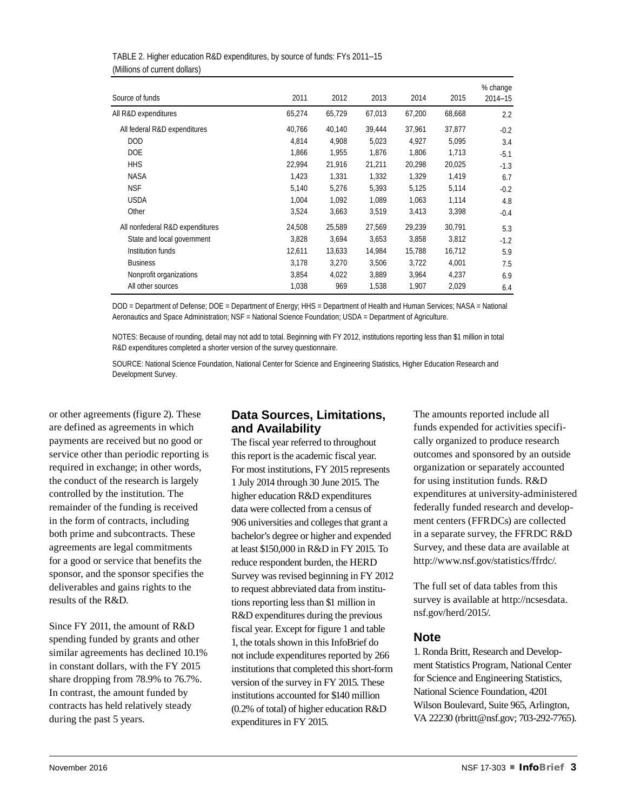| Source of funds                 | 2011   | 2012   | 2013   | 2014   | 2015   | % change<br>$2014 - 15$ |
|---------------------------------|--------|--------|--------|--------|--------|-------------------------|
| All R&D expenditures            | 65,274 | 65,729 | 67,013 | 67,200 | 68,668 | 2.2                     |
| All federal R&D expenditures    | 40.766 | 40,140 | 39,444 | 37.961 | 37,877 | $-0.2$                  |
| <b>DOD</b>                      | 4.814  | 4.908  | 5,023  | 4.927  | 5.095  | 3.4                     |
| <b>DOE</b>                      | 1.866  | 1.955  | 1.876  | 1.806  | 1.713  | $-5.1$                  |
| <b>HHS</b>                      | 22,994 | 21,916 | 21,211 | 20,298 | 20,025 | $-1.3$                  |
| <b>NASA</b>                     | 1,423  | 1,331  | 1,332  | 1,329  | 1,419  | 6.7                     |
| <b>NSF</b>                      | 5,140  | 5,276  | 5,393  | 5,125  | 5,114  | $-0.2$                  |
| <b>USDA</b>                     | 1,004  | 1,092  | 1,089  | 1,063  | 1,114  | 4.8                     |
| Other                           | 3,524  | 3,663  | 3,519  | 3,413  | 3,398  | $-0.4$                  |
| All nonfederal R&D expenditures | 24,508 | 25,589 | 27,569 | 29,239 | 30,791 | 5.3                     |
| State and local government      | 3,828  | 3,694  | 3,653  | 3,858  | 3,812  | $-1.2$                  |
| Institution funds               | 12,611 | 13,633 | 14,984 | 15,788 | 16,712 | 5.9                     |
| <b>Business</b>                 | 3,178  | 3,270  | 3,506  | 3,722  | 4,001  | 7.5                     |
| Nonprofit organizations         | 3,854  | 4,022  | 3,889  | 3,964  | 4,237  | 6.9                     |
| All other sources               | 1,038  | 969    | 1,538  | 1,907  | 2,029  | 6.4                     |

| TABLE 2. Higher education R&D expenditures, by source of funds: FYs 2011-15 |  |
|-----------------------------------------------------------------------------|--|
| (Millions of current dollars)                                               |  |

DOD = Department of Defense; DOE = Department of Energy; HHS = Department of Health and Human Services; NASA = National Aeronautics and Space Administration; NSF = National Science Foundation; USDA = Department of Agriculture.

NOTES: Because of rounding, detail may not add to total. Beginning with FY 2012, institutions reporting less than \$1 million in total R&D expenditures completed a shorter version of the survey questionnaire.

SOURCE: National Science Foundation, National Center for Science and Engineering Statistics, Higher Education Research and Development Survey.

or other agreements (figure 2). These are defined as agreements in which payments are received but no good or service other than periodic reporting is required in exchange; in other words, the conduct of the research is largely controlled by the institution. The remainder of the funding is received in the form of contracts, including both prime and subcontracts. These agreements are legal commitments for a good or service that benefits the sponsor, and the sponsor specifies the deliverables and gains rights to the results of the R&D.

Since FY 2011, the amount of R&D spending funded by grants and other similar agreements has declined 10.1% in constant dollars, with the FY 2015 share dropping from 78.9% to 76.7%. In contrast, the amount funded by contracts has held relatively steady during the past 5 years.

### **Data Sources, Limitations, and Availability**

The fiscal year referred to throughout this report is the academic fiscal year. For most institutions, FY 2015 represents 1 July 2014 through 30 June 2015. The higher education R&D expenditures data were collected from a census of 906 universities and colleges that grant a bachelor's degree or higher and expended at least \$150,000 in R&D in FY 2015. To reduce respondent burden, the HERD Survey was revised beginning in FY 2012 to request abbreviated data from institutions reporting less than \$1 million in R&D expenditures during the previous fiscal year. Except for figure 1 and table 1, the totals shown in this InfoBrief do not include expenditures reported by 266 institutions that completed this short-form version of the survey in FY 2015. These institutions accounted for \$140 million (0.2% of total) of higher education R&D expenditures in FY 2015.

The amounts reported include all funds expended for activities specifically organized to produce research outcomes and sponsored by an outside organization or separately accounted for using institution funds. R&D expenditures at university-administered federally funded research and development centers (FFRDCs) are collected in a separate survey, the FFRDC R&D Survey, and these data are available at <http://www.nsf.gov/statistics/ffrdc/>.

The full set of data tables from this survey is available at [http://ncsesdata.](http://ncsesdata.nsf.gov/herd/2015/) [nsf.gov/herd/2015/.](http://ncsesdata.nsf.gov/herd/2015/)

### **Note**

1. Ronda Britt, Research and Development Statistics Program, National Center for Science and Engineering Statistics, National Science Foundation, 4201 Wilson Boulevard, Suite 965, Arlington, VA 22230 [\(rbritt@nsf.gov](mailto:rbritt@nsf.gov); 703-292-7765).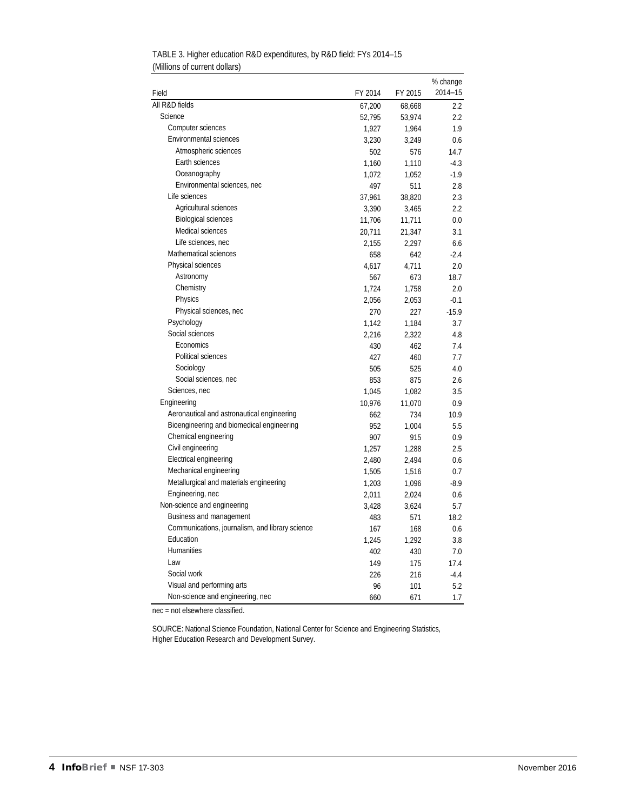|                                                 |         |         | % change |  |
|-------------------------------------------------|---------|---------|----------|--|
| Field                                           | FY 2014 | FY 2015 | 2014-15  |  |
| All R&D fields                                  | 67,200  | 68,668  | 2.2      |  |
| Science                                         | 52,795  | 53,974  | 2.2      |  |
| Computer sciences                               | 1,927   | 1,964   | 1.9      |  |
| <b>Environmental sciences</b>                   | 3,230   | 3,249   | 0.6      |  |
| Atmospheric sciences                            | 502     | 576     | 14.7     |  |
| Earth sciences                                  | 1,160   | 1,110   | $-4.3$   |  |
| Oceanography                                    | 1,072   | 1,052   | $-1.9$   |  |
| Environmental sciences, nec                     | 497     | 511     | 2.8      |  |
| Life sciences                                   | 37,961  | 38,820  | 2.3      |  |
| Agricultural sciences                           | 3,390   | 3,465   | 2.2      |  |
| <b>Biological sciences</b>                      | 11,706  | 11,711  | 0.0      |  |
| Medical sciences                                | 20,711  | 21,347  | 3.1      |  |
| Life sciences, nec                              | 2,155   | 2,297   | 6.6      |  |
| Mathematical sciences                           | 658     | 642     | $-2.4$   |  |
| Physical sciences                               | 4,617   | 4,711   | 2.0      |  |
| Astronomy                                       | 567     | 673     | 18.7     |  |
| Chemistry                                       | 1,724   | 1,758   | 2.0      |  |
| Physics                                         | 2,056   | 2,053   | $-0.1$   |  |
| Physical sciences, nec                          | 270     | 227     | $-15.9$  |  |
| Psychology                                      | 1,142   | 1,184   | 3.7      |  |
| Social sciences                                 | 2,216   | 2,322   | 4.8      |  |
| Economics                                       | 430     | 462     | 7.4      |  |
| Political sciences                              | 427     | 460     | 7.7      |  |
| Sociology                                       | 505     | 525     | 4.0      |  |
| Social sciences, nec                            | 853     | 875     | 2.6      |  |
| Sciences, nec                                   | 1,045   | 1,082   | 3.5      |  |
| Engineering                                     | 10,976  | 11,070  | 0.9      |  |
| Aeronautical and astronautical engineering      | 662     | 734     | 10.9     |  |
| Bioengineering and biomedical engineering       | 952     | 1,004   | 5.5      |  |
| Chemical engineering                            | 907     | 915     | 0.9      |  |
| Civil engineering                               | 1,257   | 1,288   | 2.5      |  |
| Electrical engineering                          | 2,480   | 2,494   | 0.6      |  |
| Mechanical engineering                          | 1,505   | 1,516   | 0.7      |  |
| Metallurgical and materials engineering         | 1,203   | 1,096   | $-8.9$   |  |
| Engineering, nec                                | 2,011   | 2,024   | 0.6      |  |
| Non-science and engineering                     | 3,428   | 3,624   | 5.7      |  |
| Business and management                         | 483     | 571     | 18.2     |  |
| Communications, journalism, and library science | 167     | 168     | 0.6      |  |
| Education                                       | 1,245   | 1,292   | 3.8      |  |
| <b>Humanities</b>                               | 402     | 430     | 7.0      |  |
| I aw                                            | 149     | 175     | 17.4     |  |
| Social work                                     | 226     | 216     | $-4.4$   |  |
| Visual and performing arts                      | 96      | 101     | 5.2      |  |
| Non-science and engineering, nec                | 660     | 671     | 1.7      |  |

TABLE 3. Higher education R&D expenditures, by R&D field: FYs 2014–15 (Millions of current dollars)

nec = not elsewhere classified.

SOURCE: National Science Foundation, National Center for Science and Engineering Statistics, Higher Education Research and Development Survey.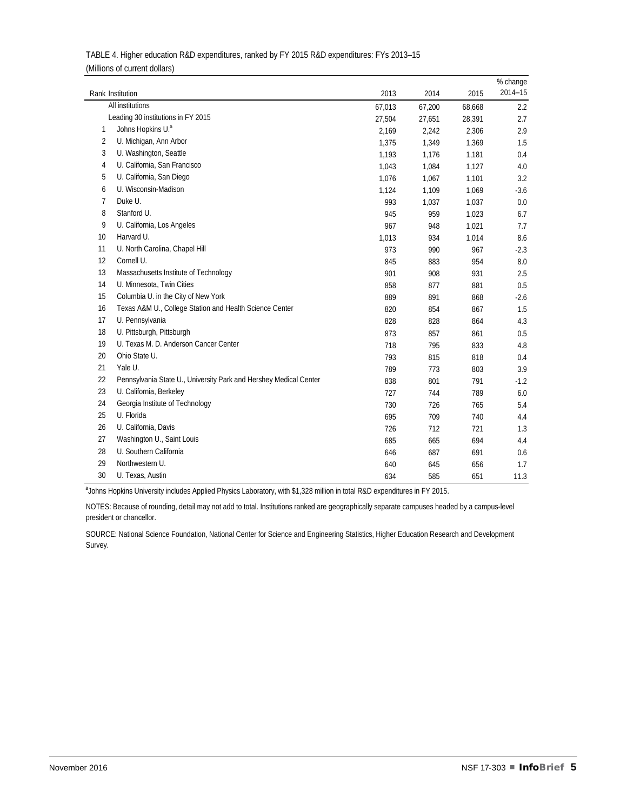|    |                                                                   |        |        |        | % change |
|----|-------------------------------------------------------------------|--------|--------|--------|----------|
|    | Rank Institution                                                  | 2013   | 2014   | 2015   | 2014-15  |
|    | All institutions                                                  | 67,013 | 67,200 | 68,668 | 2.2      |
|    | Leading 30 institutions in FY 2015                                | 27,504 | 27,651 | 28,391 | 2.7      |
| 1  | Johns Hopkins U.ª                                                 | 2,169  | 2,242  | 2,306  | 2.9      |
| 2  | U. Michigan, Ann Arbor                                            | 1,375  | 1,349  | 1,369  | 1.5      |
| 3  | U. Washington, Seattle                                            | 1,193  | 1,176  | 1,181  | 0.4      |
| 4  | U. California, San Francisco                                      | 1,043  | 1,084  | 1,127  | 4.0      |
| 5  | U. California, San Diego                                          | 1,076  | 1,067  | 1,101  | 3.2      |
| 6  | U. Wisconsin-Madison                                              | 1,124  | 1,109  | 1,069  | $-3.6$   |
| 7  | Duke U.                                                           | 993    | 1,037  | 1,037  | 0.0      |
| 8  | Stanford U.                                                       | 945    | 959    | 1,023  | 6.7      |
| 9  | U. California, Los Angeles                                        | 967    | 948    | 1,021  | 7.7      |
| 10 | Harvard U.                                                        | 1,013  | 934    | 1,014  | 8.6      |
| 11 | U. North Carolina, Chapel Hill                                    | 973    | 990    | 967    | $-2.3$   |
| 12 | Cornell U.                                                        | 845    | 883    | 954    | 8.0      |
| 13 | Massachusetts Institute of Technology                             | 901    | 908    | 931    | 2.5      |
| 14 | U. Minnesota, Twin Cities                                         | 858    | 877    | 881    | 0.5      |
| 15 | Columbia U. in the City of New York                               | 889    | 891    | 868    | $-2.6$   |
| 16 | Texas A&M U., College Station and Health Science Center           | 820    | 854    | 867    | 1.5      |
| 17 | U. Pennsylvania                                                   | 828    | 828    | 864    | 4.3      |
| 18 | U. Pittsburgh, Pittsburgh                                         | 873    | 857    | 861    | 0.5      |
| 19 | U. Texas M. D. Anderson Cancer Center                             | 718    | 795    | 833    | 4.8      |
| 20 | Ohio State U.                                                     | 793    | 815    | 818    | 0.4      |
| 21 | Yale U.                                                           | 789    | 773    | 803    | 3.9      |
| 22 | Pennsylvania State U., University Park and Hershey Medical Center | 838    | 801    | 791    | $-1.2$   |
| 23 | U. California, Berkeley                                           | 727    | 744    | 789    | 6.0      |
| 24 | Georgia Institute of Technology                                   | 730    | 726    | 765    | 5.4      |
| 25 | U. Florida                                                        | 695    | 709    | 740    | 4.4      |
| 26 | U. California, Davis                                              | 726    | 712    | 721    | 1.3      |
| 27 | Washington U., Saint Louis                                        | 685    | 665    | 694    | 4.4      |
| 28 | U. Southern California                                            | 646    | 687    | 691    | 0.6      |
| 29 | Northwestern U.                                                   | 640    | 645    | 656    | 1.7      |
| 30 | U. Texas, Austin                                                  | 634    | 585    | 651    | 11.3     |

| TABLE 4. Higher education R&D expenditures, ranked by FY 2015 R&D expenditures: FYs 2013-15 |  |
|---------------------------------------------------------------------------------------------|--|
| (Millions of current dollars)                                                               |  |

<sup>a</sup>Johns Hopkins University includes Applied Physics Laboratory, with \$1,328 million in total R&D expenditures in FY 2015.

NOTES: Because of rounding, detail may not add to total. Institutions ranked are geographically separate campuses headed by a campus-level president or chancellor.

SOURCE: National Science Foundation, National Center for Science and Engineering Statistics, Higher Education Research and Development Survey.